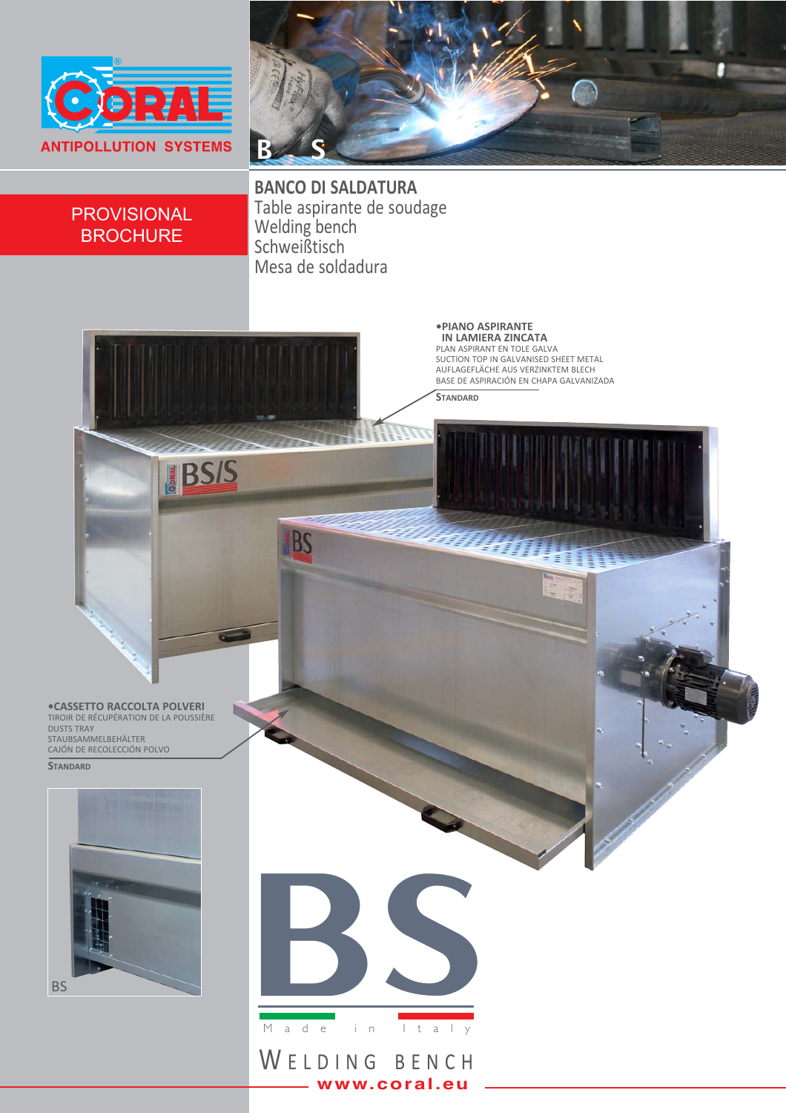



## **PROVISIONAL BROCHURE**

**BANCO DI SALDATURA** Table aspirante de soudage Welding bench<br>Schweißtisch Mesa de soldadura



www.coral.eu